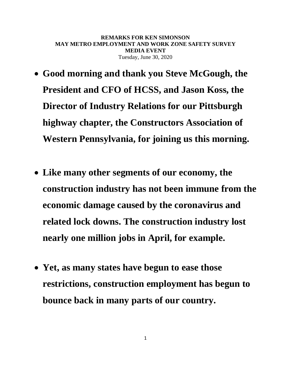**REMARKS FOR KEN SIMONSON MAY METRO EMPLOYMENT AND WORK ZONE SAFETY SURVEY MEDIA EVENT** Tuesday, June 30, 2020

- **Good morning and thank you Steve McGough, the President and CFO of HCSS, and Jason Koss, the Director of Industry Relations for our Pittsburgh highway chapter, the Constructors Association of Western Pennsylvania, for joining us this morning.**
- **Like many other segments of our economy, the construction industry has not been immune from the economic damage caused by the coronavirus and related lock downs. The construction industry lost nearly one million jobs in April, for example.**
- **Yet, as many states have begun to ease those restrictions, construction employment has begun to bounce back in many parts of our country.**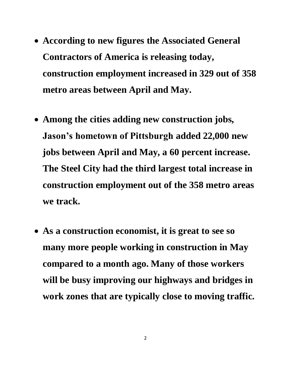- **According to new figures the Associated General Contractors of America is releasing today, construction employment increased in 329 out of 358 metro areas between April and May.**
- **Among the cities adding new construction jobs, Jason's hometown of Pittsburgh added 22,000 new jobs between April and May, a 60 percent increase. The Steel City had the third largest total increase in construction employment out of the 358 metro areas we track.**
- **As a construction economist, it is great to see so many more people working in construction in May compared to a month ago. Many of those workers will be busy improving our highways and bridges in work zones that are typically close to moving traffic.**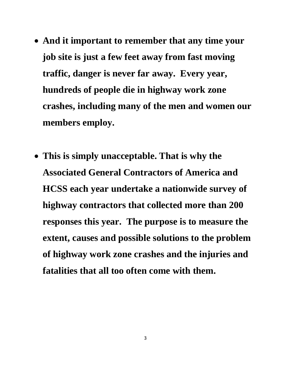- **And it important to remember that any time your job site is just a few feet away from fast moving traffic, danger is never far away. Every year, hundreds of people die in highway work zone crashes, including many of the men and women our members employ.**
- **This is simply unacceptable. That is why the Associated General Contractors of America and HCSS each year undertake a nationwide survey of highway contractors that collected more than 200 responses this year. The purpose is to measure the extent, causes and possible solutions to the problem of highway work zone crashes and the injuries and fatalities that all too often come with them.**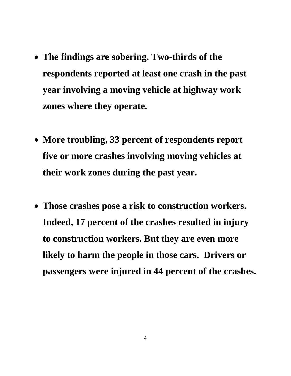- **The findings are sobering. Two-thirds of the respondents reported at least one crash in the past year involving a moving vehicle at highway work zones where they operate.**
- **More troubling, 33 percent of respondents report five or more crashes involving moving vehicles at their work zones during the past year.**
- **Those crashes pose a risk to construction workers. Indeed, 17 percent of the crashes resulted in injury to construction workers. But they are even more likely to harm the people in those cars. Drivers or passengers were injured in 44 percent of the crashes.**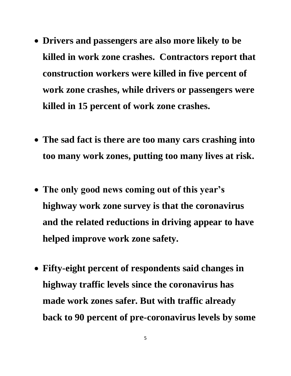- **Drivers and passengers are also more likely to be killed in work zone crashes. Contractors report that construction workers were killed in five percent of work zone crashes, while drivers or passengers were killed in 15 percent of work zone crashes.**
- **The sad fact is there are too many cars crashing into too many work zones, putting too many lives at risk.**
- **The only good news coming out of this year's highway work zone survey is that the coronavirus and the related reductions in driving appear to have helped improve work zone safety.**
- **Fifty-eight percent of respondents said changes in highway traffic levels since the coronavirus has made work zones safer. But with traffic already back to 90 percent of pre-coronavirus levels by some**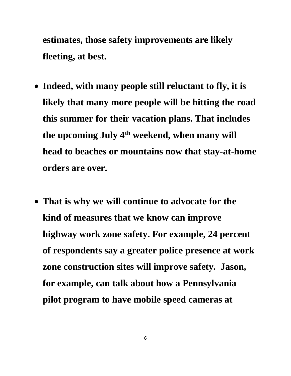**estimates, those safety improvements are likely fleeting, at best.**

- **Indeed, with many people still reluctant to fly, it is likely that many more people will be hitting the road this summer for their vacation plans. That includes the upcoming July 4th weekend, when many will head to beaches or mountains now that stay-at-home orders are over.**
- **That is why we will continue to advocate for the kind of measures that we know can improve highway work zone safety. For example, 24 percent of respondents say a greater police presence at work zone construction sites will improve safety. Jason, for example, can talk about how a Pennsylvania pilot program to have mobile speed cameras at**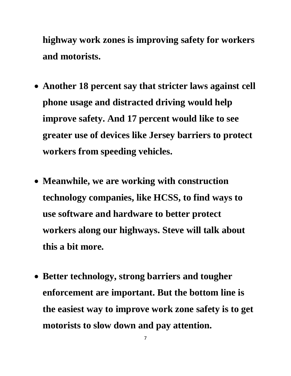**highway work zones is improving safety for workers and motorists.**

- **Another 18 percent say that stricter laws against cell phone usage and distracted driving would help improve safety. And 17 percent would like to see greater use of devices like Jersey barriers to protect workers from speeding vehicles.**
- **Meanwhile, we are working with construction technology companies, like HCSS, to find ways to use software and hardware to better protect workers along our highways. Steve will talk about this a bit more.**
- **Better technology, strong barriers and tougher enforcement are important. But the bottom line is the easiest way to improve work zone safety is to get motorists to slow down and pay attention.**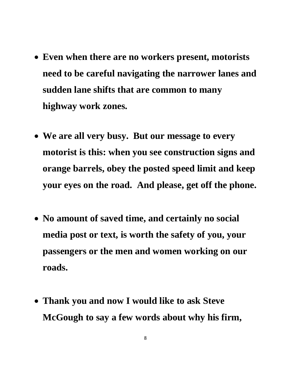- **Even when there are no workers present, motorists need to be careful navigating the narrower lanes and sudden lane shifts that are common to many highway work zones.**
- **We are all very busy. But our message to every motorist is this: when you see construction signs and orange barrels, obey the posted speed limit and keep your eyes on the road. And please, get off the phone.**
- **No amount of saved time, and certainly no social media post or text, is worth the safety of you, your passengers or the men and women working on our roads.**
- **Thank you and now I would like to ask Steve McGough to say a few words about why his firm,**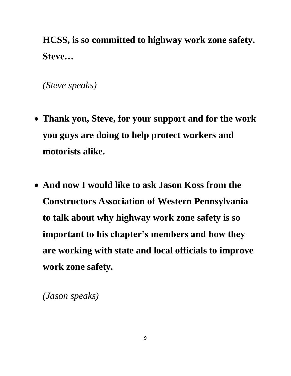**HCSS, is so committed to highway work zone safety. Steve…**

*(Steve speaks)*

- **Thank you, Steve, for your support and for the work you guys are doing to help protect workers and motorists alike.**
- **And now I would like to ask Jason Koss from the Constructors Association of Western Pennsylvania to talk about why highway work zone safety is so important to his chapter's members and how they are working with state and local officials to improve work zone safety.**

*(Jason speaks)*